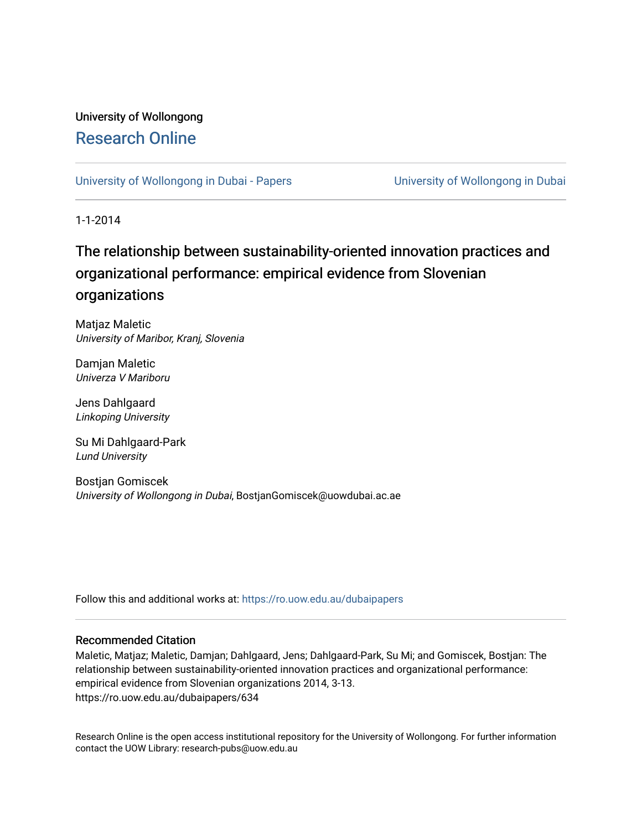# University of Wollongong [Research Online](https://ro.uow.edu.au/)

[University of Wollongong in Dubai - Papers](https://ro.uow.edu.au/dubaipapers) **University of Wollongong in Dubai** 

1-1-2014

# The relationship between sustainability-oriented innovation practices and organizational performance: empirical evidence from Slovenian organizations

Matjaz Maletic University of Maribor, Kranj, Slovenia

Damjan Maletic Univerza V Mariboru

Jens Dahlgaard Linkoping University

Su Mi Dahlgaard-Park Lund University

Bostjan Gomiscek University of Wollongong in Dubai, BostjanGomiscek@uowdubai.ac.ae

Follow this and additional works at: [https://ro.uow.edu.au/dubaipapers](https://ro.uow.edu.au/dubaipapers?utm_source=ro.uow.edu.au%2Fdubaipapers%2F634&utm_medium=PDF&utm_campaign=PDFCoverPages) 

#### Recommended Citation

Maletic, Matjaz; Maletic, Damjan; Dahlgaard, Jens; Dahlgaard-Park, Su Mi; and Gomiscek, Bostjan: The relationship between sustainability-oriented innovation practices and organizational performance: empirical evidence from Slovenian organizations 2014, 3-13. https://ro.uow.edu.au/dubaipapers/634

Research Online is the open access institutional repository for the University of Wollongong. For further information contact the UOW Library: research-pubs@uow.edu.au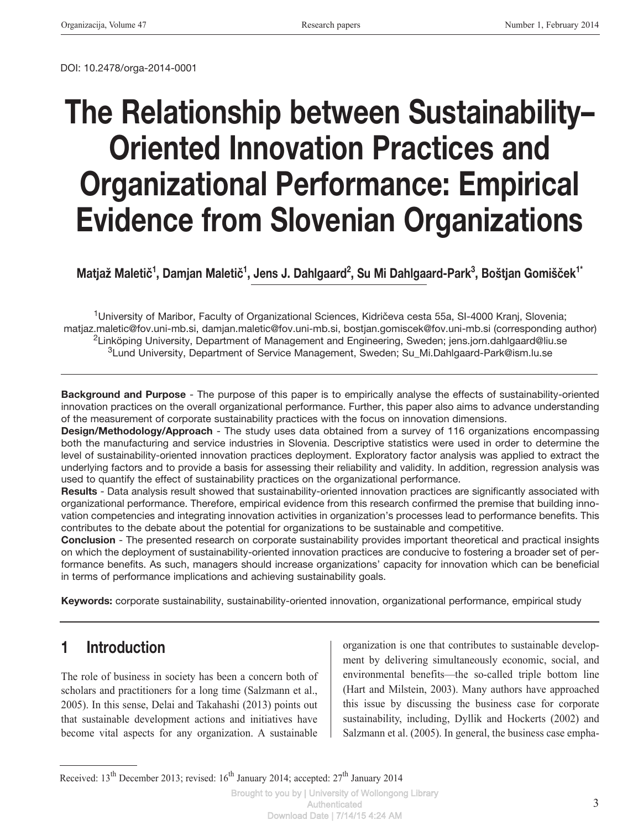DOI: 10.2478/orga-2014-0001

# The Relationship between Sustainability– Oriented Innovation Practices and Organizational Performance: Empirical Evidence from Slovenian Organizations

Matjaž Maletič<sup>1</sup>, Damjan Maletič<sup>1</sup>, Jens J. Dahlgaard<sup>2</sup>, Su Mi Dahlgaard-Park<sup>3</sup>, Boštjan Gomišček<sup>1\*</sup>

1University of Maribor, Faculty of Organizational Sciences, Kidričeva cesta 55a, SI-4000 Kranj, Slovenia; matjaz.maletic@fov.uni-mb.si, damjan.maletic@fov.uni-mb.si, bostjan.gomiscek@fov.uni-mb.si (corresponding author) <sup>2</sup>Linköping University, Department of Management and Engineering, Sweden; jens.jorn.dahlgaard@liu.se 3Lund University, Department of Service Management, Sweden; Su\_Mi.Dahlgaard-Park@ism.lu.se

Background and Purpose - The purpose of this paper is to empirically analyse the effects of sustainability-oriented innovation practices on the overall organizational performance. Further, this paper also aims to advance understanding of the measurement of corporate sustainability practices with the focus on innovation dimensions.

Design/Methodology/Approach - The study uses data obtained from a survey of 116 organizations encompassing both the manufacturing and service industries in Slovenia. Descriptive statistics were used in order to determine the level of sustainability-oriented innovation practices deployment. Exploratory factor analysis was applied to extract the underlying factors and to provide a basis for assessing their reliability and validity. In addition, regression analysis was used to quantify the effect of sustainability practices on the organizational performance.

Results - Data analysis result showed that sustainability-oriented innovation practices are significantly associated with organizational performance. Therefore, empirical evidence from this research confirmed the premise that building innovation competencies and integrating innovation activities in organization's processes lead to performance benefits. This contributes to the debate about the potential for organizations to be sustainable and competitive.

Conclusion - The presented research on corporate sustainability provides important theoretical and practical insights on which the deployment of sustainability-oriented innovation practices are conducive to fostering a broader set of performance benefits. As such, managers should increase organizations' capacity for innovation which can be beneficial in terms of performance implications and achieving sustainability goals.

Keywords: corporate sustainability, sustainability-oriented innovation, organizational performance, empirical study

# 1 Introduction

The role of business in society has been a concern both of scholars and practitioners for a long time (Salzmann et al., 2005). In this sense, Delai and Takahashi (2013) points out that sustainable development actions and initiatives have become vital aspects for any organization. A sustainable

organization is one that contributes to sustainable development by delivering simultaneously economic, social, and environmental benefits—the so-called triple bottom line (Hart and Milstein, 2003). Many authors have approached this issue by discussing the business case for corporate sustainability, including, Dyllik and Hockerts (2002) and Salzmann et al. (2005). In general, the business case empha-

Received: 13<sup>th</sup> December 2013; revised: 16<sup>th</sup> January 2014; accepted: 27<sup>th</sup> January 2014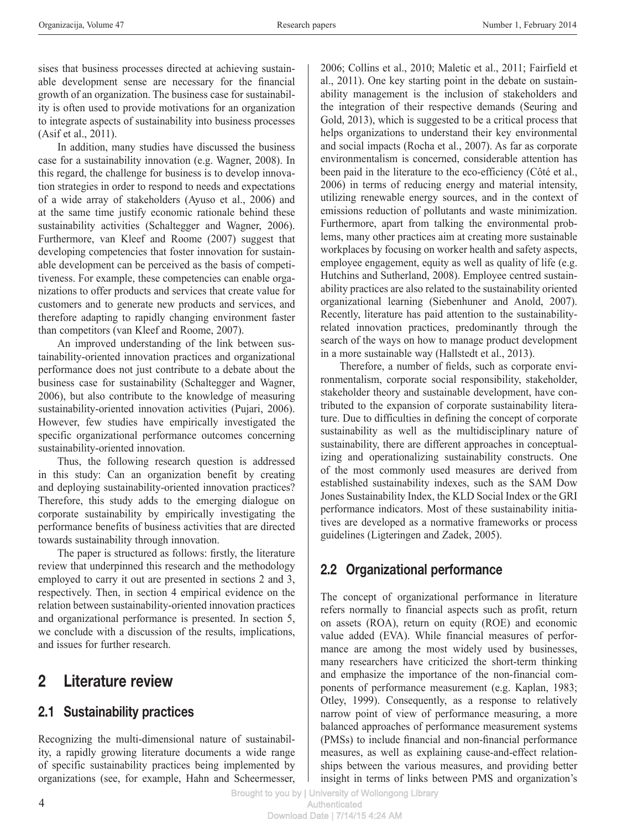sises that business processes directed at achieving sustainable development sense are necessary for the financial growth of an organization. The business case for sustainability is often used to provide motivations for an organization to integrate aspects of sustainability into business processes (Asif et al., 2011).

In addition, many studies have discussed the business case for a sustainability innovation (e.g. Wagner, 2008). In this regard, the challenge for business is to develop innovation strategies in order to respond to needs and expectations of a wide array of stakeholders (Ayuso et al., 2006) and at the same time justify economic rationale behind these sustainability activities (Schaltegger and Wagner, 2006). Furthermore, van Kleef and Roome (2007) suggest that developing competencies that foster innovation for sustainable development can be perceived as the basis of competitiveness. For example, these competencies can enable organizations to offer products and services that create value for customers and to generate new products and services, and therefore adapting to rapidly changing environment faster than competitors (van Kleef and Roome, 2007).

An improved understanding of the link between sustainability-oriented innovation practices and organizational performance does not just contribute to a debate about the business case for sustainability (Schaltegger and Wagner, 2006), but also contribute to the knowledge of measuring sustainability-oriented innovation activities (Pujari, 2006). However, few studies have empirically investigated the specific organizational performance outcomes concerning sustainability-oriented innovation.

Thus, the following research question is addressed in this study: Can an organization benefit by creating and deploying sustainability-oriented innovation practices? Therefore, this study adds to the emerging dialogue on corporate sustainability by empirically investigating the performance benefits of business activities that are directed towards sustainability through innovation.

The paper is structured as follows: firstly, the literature review that underpinned this research and the methodology employed to carry it out are presented in sections 2 and 3, respectively. Then, in section 4 empirical evidence on the relation between sustainability-oriented innovation practices and organizational performance is presented. In section 5, we conclude with a discussion of the results, implications, and issues for further research.

# 2 Literature review

## 2.1 Sustainability practices

Recognizing the multi-dimensional nature of sustainability, a rapidly growing literature documents a wide range of specific sustainability practices being implemented by organizations (see, for example, Hahn and Scheermesser,

2006; Collins et al., 2010; Maletic et al., 2011; Fairfield et al., 2011). One key starting point in the debate on sustainability management is the inclusion of stakeholders and the integration of their respective demands (Seuring and Gold, 2013), which is suggested to be a critical process that helps organizations to understand their key environmental and social impacts (Rocha et al., 2007). As far as corporate environmentalism is concerned, considerable attention has been paid in the literature to the eco-efficiency (Côté et al., 2006) in terms of reducing energy and material intensity, utilizing renewable energy sources, and in the context of emissions reduction of pollutants and waste minimization. Furthermore, apart from talking the environmental problems, many other practices aim at creating more sustainable workplaces by focusing on worker health and safety aspects, employee engagement, equity as well as quality of life (e.g. Hutchins and Sutherland, 2008). Employee centred sustainability practices are also related to the sustainability oriented organizational learning (Siebenhuner and Anold, 2007). Recently, literature has paid attention to the sustainabilityrelated innovation practices, predominantly through the search of the ways on how to manage product development in a more sustainable way (Hallstedt et al., 2013).

Therefore, a number of fields, such as corporate environmentalism, corporate social responsibility, stakeholder, stakeholder theory and sustainable development, have contributed to the expansion of corporate sustainability literature. Due to difficulties in defining the concept of corporate sustainability as well as the multidisciplinary nature of sustainability, there are different approaches in conceptualizing and operationalizing sustainability constructs. One of the most commonly used measures are derived from established sustainability indexes, such as the SAM Dow Jones Sustainability Index, the KLD Social Index or the GRI performance indicators. Most of these sustainability initiatives are developed as a normative frameworks or process guidelines (Ligteringen and Zadek, 2005).

# 2.2 Organizational performance

The concept of organizational performance in literature refers normally to financial aspects such as profit, return on assets (ROA), return on equity (ROE) and economic value added (EVA). While financial measures of performance are among the most widely used by businesses, many researchers have criticized the short-term thinking and emphasize the importance of the non-financial components of performance measurement (e.g. Kaplan, 1983; Otley, 1999). Consequently, as a response to relatively narrow point of view of performance measuring, a more balanced approaches of performance measurement systems (PMSs) to include financial and non-financial performance measures, as well as explaining cause-and-effect relationships between the various measures, and providing better insight in terms of links between PMS and organization's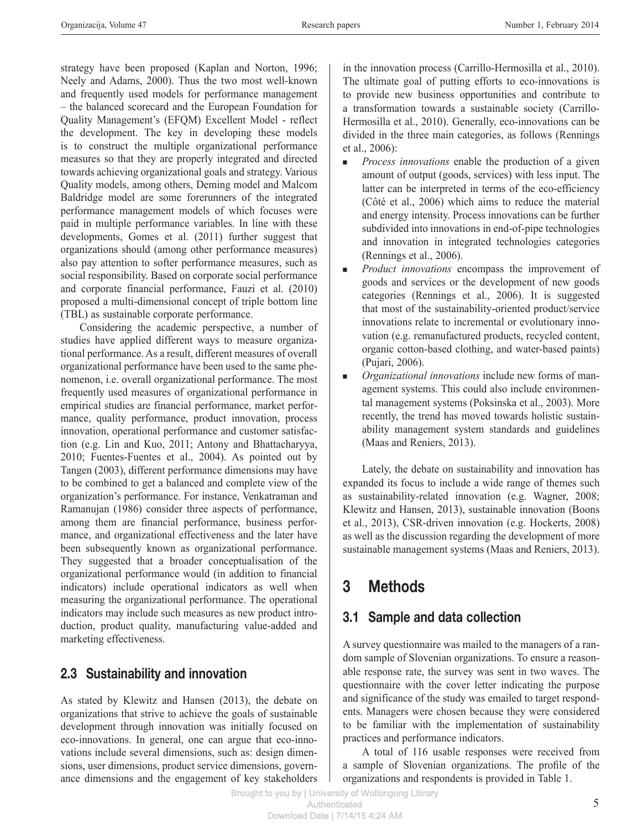strategy have been proposed (Kaplan and Norton, 1996; Neely and Adams, 2000). Thus the two most well-known and frequently used models for performance management – the balanced scorecard and the European Foundation for Quality Management's (EFQM) Excellent Model - reflect the development. The key in developing these models is to construct the multiple organizational performance measures so that they are properly integrated and directed towards achieving organizational goals and strategy. Various Quality models, among others, Deming model and Malcom Baldridge model are some forerunners of the integrated performance management models of which focuses were paid in multiple performance variables. In line with these developments, Gomes et al. (2011) further suggest that organizations should (among other performance measures) also pay attention to softer performance measures, such as social responsibility. Based on corporate social performance and corporate financial performance, Fauzi et al. (2010) proposed a multi-dimensional concept of triple bottom line (TBL) as sustainable corporate performance.

Considering the academic perspective, a number of studies have applied different ways to measure organizational performance. As a result, different measures of overall organizational performance have been used to the same phenomenon, i.e. overall organizational performance. The most frequently used measures of organizational performance in empirical studies are financial performance, market performance, quality performance, product innovation, process innovation, operational performance and customer satisfaction (e.g. Lin and Kuo, 2011; Antony and Bhattacharyya, 2010; Fuentes-Fuentes et al., 2004). As pointed out by Tangen (2003), different performance dimensions may have to be combined to get a balanced and complete view of the organization's performance. For instance, Venkatraman and Ramanujan (1986) consider three aspects of performance, among them are financial performance, business performance, and organizational effectiveness and the later have been subsequently known as organizational performance. They suggested that a broader conceptualisation of the organizational performance would (in addition to financial indicators) include operational indicators as well when measuring the organizational performance. The operational indicators may include such measures as new product introduction, product quality, manufacturing value-added and marketing effectiveness.

## 2.3 Sustainability and innovation

As stated by Klewitz and Hansen (2013), the debate on organizations that strive to achieve the goals of sustainable development through innovation was initially focused on eco-innovations. In general, one can argue that eco-innovations include several dimensions, such as: design dimensions, user dimensions, product service dimensions, governance dimensions and the engagement of key stakeholders in the innovation process (Carrillo-Hermosilla et al., 2010). The ultimate goal of putting efforts to eco-innovations is to provide new business opportunities and contribute to a transformation towards a sustainable society (Carrillo-Hermosilla et al., 2010). Generally, eco-innovations can be divided in the three main categories, as follows (Rennings et al., 2006):

- **n** *Process innovations* enable the production of a given amount of output (goods, services) with less input. The latter can be interpreted in terms of the eco-efficiency (Côté et al., 2006) which aims to reduce the material and energy intensity. Process innovations can be further subdivided into innovations in end-of-pipe technologies and innovation in integrated technologies categories (Rennings et al., 2006).
- *Product innovations* encompass the improvement of goods and services or the development of new goods categories (Rennings et al., 2006). It is suggested that most of the sustainability-oriented product/service innovations relate to incremental or evolutionary innovation (e.g. remanufactured products, recycled content, organic cotton-based clothing, and water-based paints) (Pujari, 2006).
- <sup>n</sup> *Organizational innovations* include new forms of management systems. This could also include environmental management systems (Poksinska et al., 2003). More recently, the trend has moved towards holistic sustainability management system standards and guidelines (Maas and Reniers, 2013).

Lately, the debate on sustainability and innovation has expanded its focus to include a wide range of themes such as sustainability-related innovation (e.g. Wagner, 2008; Klewitz and Hansen, 2013), sustainable innovation (Boons et al., 2013), CSR-driven innovation (e.g. Hockerts, 2008) as well as the discussion regarding the development of more sustainable management systems (Maas and Reniers, 2013).

# 3 Methods

# 3.1 Sample and data collection

A survey questionnaire was mailed to the managers of a random sample of Slovenian organizations. To ensure a reasonable response rate, the survey was sent in two waves. The questionnaire with the cover letter indicating the purpose and significance of the study was emailed to target respondents. Managers were chosen because they were considered to be familiar with the implementation of sustainability practices and performance indicators.

A total of 116 usable responses were received from a sample of Slovenian organizations. The profile of the organizations and respondents is provided in Table 1.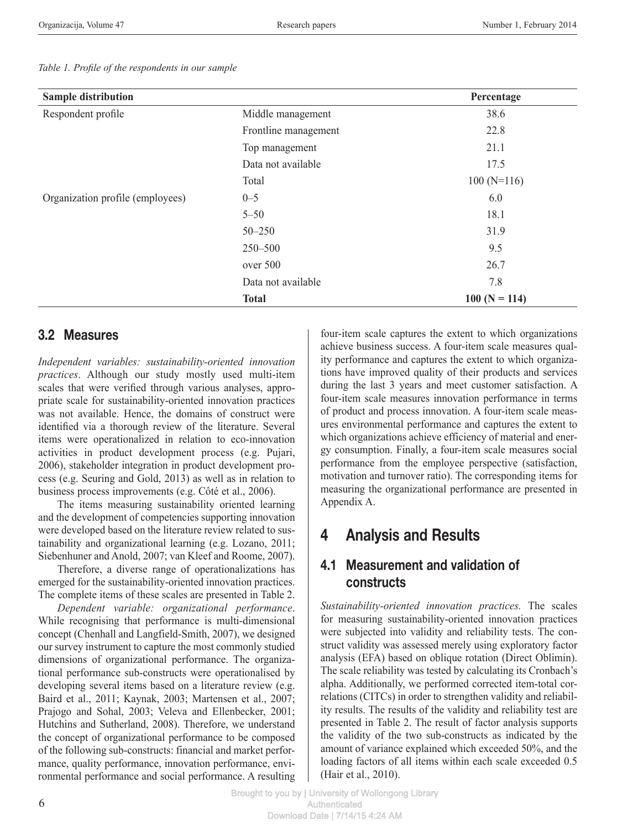| <b>Sample distribution</b>       |                      | Percentage     |
|----------------------------------|----------------------|----------------|
| Respondent profile               | Middle management    | 38.6           |
|                                  | Frontline management | 22.8           |
|                                  | Top management       | 21.1           |
|                                  | Data not available   | 17.5           |
|                                  | Total                | $100(N=116)$   |
| Organization profile (employees) | $0 - 5$              | 6.0            |
|                                  | $5 - 50$             | 18.1           |
|                                  | $50 - 250$           | 31.9           |
|                                  | 250-500              | 9.5            |
|                                  | over 500             | 26.7           |
|                                  | Data not available   | 7.8            |
|                                  | <b>Total</b>         | $100(N = 114)$ |

#### *Table 1. Profile of the respondents in our sample*

### 3.2 Measures

*Independent variables: sustainability-oriented innovation practices*. Although our study mostly used multi-item scales that were verified through various analyses, appropriate scale for sustainability-oriented innovation practices was not available. Hence, the domains of construct were identified via a thorough review of the literature. Several items were operationalized in relation to eco-innovation activities in product development process (e.g. Pujari, 2006), stakeholder integration in product development process (e.g. Seuring and Gold, 2013) as well as in relation to business process improvements (e.g. Côté et al., 2006).

The items measuring sustainability oriented learning and the development of competencies supporting innovation were developed based on the literature review related to sustainability and organizational learning (e.g. Lozano, 2011; Siebenhuner and Anold, 2007; van Kleef and Roome, 2007).

Therefore, a diverse range of operationalizations has emerged for the sustainability-oriented innovation practices. The complete items of these scales are presented in Table 2.

*Dependent variable: organizational performance*. While recognising that performance is multi-dimensional concept (Chenhall and Langfield-Smith, 2007), we designed our survey instrument to capture the most commonly studied dimensions of organizational performance. The organizational performance sub-constructs were operationalised by developing several items based on a literature review (e.g. Baird et al., 2011; Kaynak, 2003; Martensen et al., 2007; Prajogo and Sohal, 2003; Veleva and Ellenbecker, 2001; Hutchins and Sutherland, 2008). Therefore, we understand the concept of organizational performance to be composed of the following sub-constructs: financial and market performance, quality performance, innovation performance, environmental performance and social performance. A resulting

four-item scale captures the extent to which organizations achieve business success. A four-item scale measures quality performance and captures the extent to which organizations have improved quality of their products and services during the last 3 years and meet customer satisfaction. A four-item scale measures innovation performance in terms of product and process innovation. A four-item scale measures environmental performance and captures the extent to which organizations achieve efficiency of material and energy consumption. Finally, a four-item scale measures social performance from the employee perspective (satisfaction, motivation and turnover ratio). The corresponding items for measuring the organizational performance are presented in Appendix A.

# 4 Analysis and Results

## 4.1 Measurement and validation of constructs

*Sustainability-oriented innovation practices.* The scales for measuring sustainability-oriented innovation practices were subjected into validity and reliability tests. The construct validity was assessed merely using exploratory factor analysis (EFA) based on oblique rotation (Direct Oblimin). The scale reliability was tested by calculating its Cronbach's alpha. Additionally, we performed corrected item-total correlations (CITCs) in order to strengthen validity and reliability results. The results of the validity and reliability test are presented in Table 2. The result of factor analysis supports the validity of the two sub-constructs as indicated by the amount of variance explained which exceeded 50%, and the loading factors of all items within each scale exceeded 0.5 (Hair et al., 2010).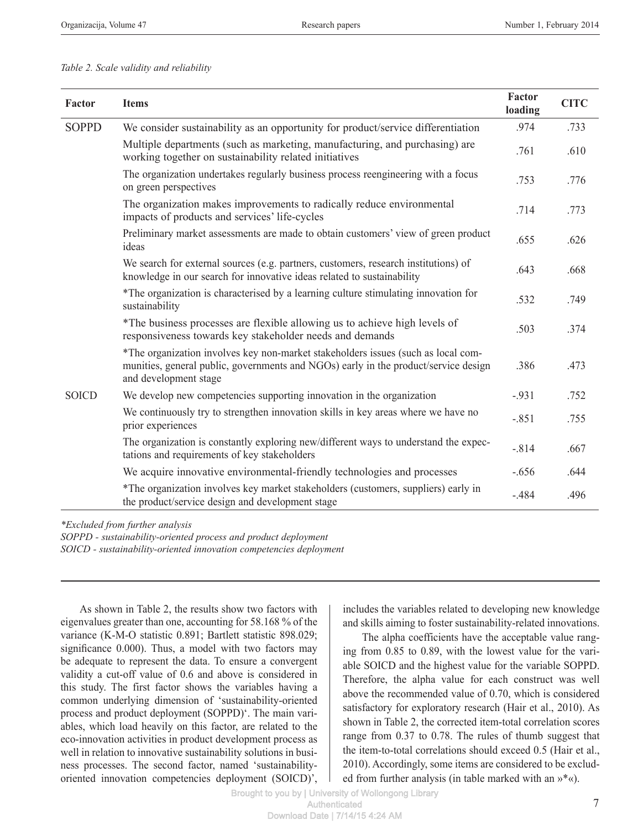#### *Table 2. Scale validity and reliability*

| Factor       | <b>Items</b>                                                                                                                                                                                      | Factor<br>loading | <b>CITC</b> |
|--------------|---------------------------------------------------------------------------------------------------------------------------------------------------------------------------------------------------|-------------------|-------------|
| <b>SOPPD</b> | We consider sustainability as an opportunity for product/service differentiation                                                                                                                  | .974              | .733        |
|              | Multiple departments (such as marketing, manufacturing, and purchasing) are<br>working together on sustainability related initiatives                                                             | .761              | .610        |
|              | The organization undertakes regularly business process reengineering with a focus<br>on green perspectives                                                                                        | .753              | .776        |
|              | The organization makes improvements to radically reduce environmental<br>impacts of products and services' life-cycles                                                                            | .714              | .773        |
|              | Preliminary market assessments are made to obtain customers' view of green product<br>ideas                                                                                                       | .655              | .626        |
|              | We search for external sources (e.g. partners, customers, research institutions) of<br>knowledge in our search for innovative ideas related to sustainability                                     | .643              | .668        |
|              | *The organization is characterised by a learning culture stimulating innovation for<br>sustainability                                                                                             | .532              | .749        |
|              | *The business processes are flexible allowing us to achieve high levels of<br>responsiveness towards key stakeholder needs and demands                                                            | .503              | .374        |
|              | *The organization involves key non-market stakeholders issues (such as local com-<br>munities, general public, governments and NGOs) early in the product/service design<br>and development stage | .386              | .473        |
| <b>SOICD</b> | We develop new competencies supporting innovation in the organization                                                                                                                             | $-.931$           | .752        |
|              | We continuously try to strengthen innovation skills in key areas where we have no<br>prior experiences                                                                                            | $-.851$           | .755        |
|              | The organization is constantly exploring new/different ways to understand the expec-<br>tations and requirements of key stakeholders                                                              | $-.814$           | .667        |
|              | We acquire innovative environmental-friendly technologies and processes                                                                                                                           | $-.656$           | .644        |
|              | *The organization involves key market stakeholders (customers, suppliers) early in<br>the product/service design and development stage                                                            | $-.484$           | .496        |

*\*Excluded from further analysis*

*SOPPD - sustainability-oriented process and product deployment*

*SOICD - sustainability-oriented innovation competencies deployment*

As shown in Table 2, the results show two factors with eigenvalues greater than one, accounting for 58.168 % of the variance (K-M-O statistic 0.891; Bartlett statistic 898.029; significance 0.000). Thus, a model with two factors may be adequate to represent the data. To ensure a convergent validity a cut-off value of 0.6 and above is considered in this study. The first factor shows the variables having a common underlying dimension of 'sustainability-oriented process and product deployment (SOPPD)'. The main variables, which load heavily on this factor, are related to the eco-innovation activities in product development process as well in relation to innovative sustainability solutions in business processes. The second factor, named 'sustainabilityoriented innovation competencies deployment (SOICD)',

includes the variables related to developing new knowledge and skills aiming to foster sustainability-related innovations.

The alpha coefficients have the acceptable value ranging from 0.85 to 0.89, with the lowest value for the variable SOICD and the highest value for the variable SOPPD. Therefore, the alpha value for each construct was well above the recommended value of 0.70, which is considered satisfactory for exploratory research (Hair et al., 2010). As shown in Table 2, the corrected item-total correlation scores range from 0.37 to 0.78. The rules of thumb suggest that the item-to-total correlations should exceed 0.5 (Hair et al., 2010). Accordingly, some items are considered to be excluded from further analysis (in table marked with an »\*«).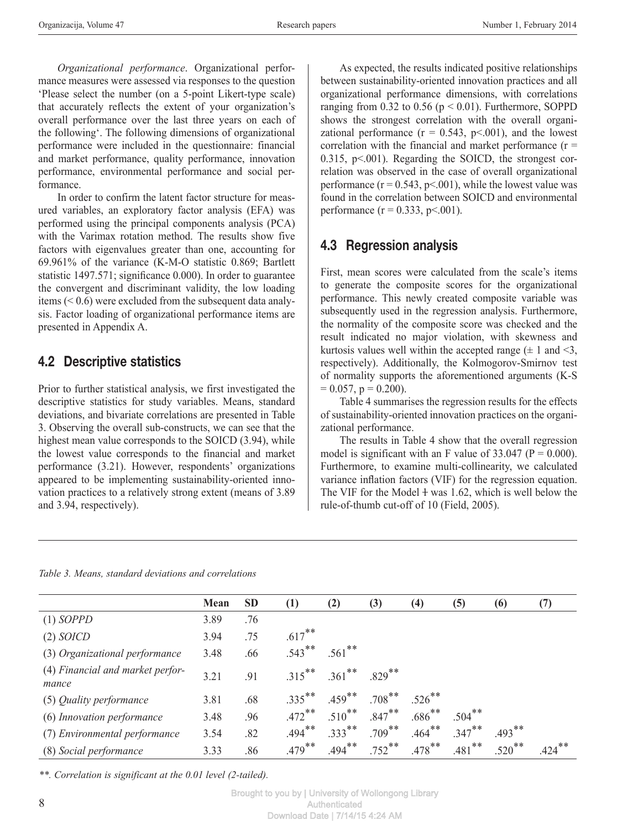*Organizational performance*. Organizational performance measures were assessed via responses to the question 'Please select the number (on a 5-point Likert-type scale) that accurately reflects the extent of your organization's overall performance over the last three years on each of the following'. The following dimensions of organizational performance were included in the questionnaire: financial and market performance, quality performance, innovation performance, environmental performance and social performance.

In order to confirm the latent factor structure for measured variables, an exploratory factor analysis (EFA) was performed using the principal components analysis (PCA) with the Varimax rotation method. The results show five factors with eigenvalues greater than one, accounting for 69.961% of the variance (K-M-O statistic 0.869; Bartlett statistic 1497.571; significance 0.000). In order to guarantee the convergent and discriminant validity, the low loading items (< 0.6) were excluded from the subsequent data analysis. Factor loading of organizational performance items are presented in Appendix A.

## 4.2 Descriptive statistics

Prior to further statistical analysis, we first investigated the descriptive statistics for study variables. Means, standard deviations, and bivariate correlations are presented in Table 3. Observing the overall sub-constructs, we can see that the highest mean value corresponds to the SOICD (3.94), while the lowest value corresponds to the financial and market performance (3.21). However, respondents' organizations appeared to be implementing sustainability-oriented innovation practices to a relatively strong extent (means of 3.89 and 3.94, respectively).

As expected, the results indicated positive relationships between sustainability-oriented innovation practices and all organizational performance dimensions, with correlations ranging from  $0.32$  to  $0.56$  ( $p < 0.01$ ). Furthermore, SOPPD shows the strongest correlation with the overall organizational performance  $(r = 0.543, p < 0.01)$ , and the lowest correlation with the financial and market performance  $(r =$ 0.315, p<.001). Regarding the SOICD, the strongest correlation was observed in the case of overall organizational performance  $(r = 0.543, p < 0.001)$ , while the lowest value was found in the correlation between SOICD and environmental performance  $(r = 0.333, p < 0.001)$ .

# 4.3 Regression analysis

First, mean scores were calculated from the scale's items to generate the composite scores for the organizational performance. This newly created composite variable was subsequently used in the regression analysis. Furthermore, the normality of the composite score was checked and the result indicated no major violation, with skewness and kurtosis values well within the accepted range  $(\pm 1 \text{ and } \leq 3)$ , respectively). Additionally, the Kolmogorov-Smirnov test of normality supports the aforementioned arguments (K-S  $= 0.057$ ,  $p = 0.200$ ).

Table 4 summarises the regression results for the effects of sustainability-oriented innovation practices on the organizational performance.

The results in Table 4 show that the overall regression model is significant with an F value of  $33.047$  (P = 0.000). Furthermore, to examine multi-collinearity, we calculated variance inflation factors (VIF) for the regression equation. The VIF for the Model  $\pm$  was 1.62, which is well below the rule-of-thumb cut-off of 10 (Field, 2005).

|                                           | Mean | <b>SD</b> | (1)       | (2)       | (3)       | $\left(4\right)$     | (5)       | (6)                  | (7)       |
|-------------------------------------------|------|-----------|-----------|-----------|-----------|----------------------|-----------|----------------------|-----------|
| $(1)$ SOPPD                               | 3.89 | .76       |           |           |           |                      |           |                      |           |
| (2) SOICD                                 | 3.94 | .75       | $.617***$ |           |           |                      |           |                      |           |
| (3) Organizational performance            | 3.48 | .66       | $.543***$ | $.561$ ** |           |                      |           |                      |           |
| (4) Financial and market perfor-<br>mance | 3.21 | .91       | $.315***$ | $.361$ ** | $.829***$ |                      |           |                      |           |
| (5) Quality performance                   | 3.81 | .68       | $.335***$ | $.459***$ | $.708***$ | $.526$ <sup>**</sup> |           |                      |           |
| (6) Innovation performance                | 3.48 | .96       | $.472$ ** | $.510***$ | $.847***$ | $.686***$            | $.504***$ |                      |           |
| (7) Environmental performance             | 3.54 | .82       | $.494***$ | $.333***$ | $.709***$ | $.464***$            | $.347***$ | $.493***$            |           |
| (8) Social performance                    | 3.33 | .86       | $.479***$ | $.494***$ | $.752$ ** | $.478$ **            | $.481$ ** | $.520$ <sup>**</sup> | $.424***$ |

*\*\*. Correlation is significant at the 0.01 level (2-tailed).*

Brought to you by | University of Wollongong Library **Authenticated** Download Date | 7/14/15 4:24 AM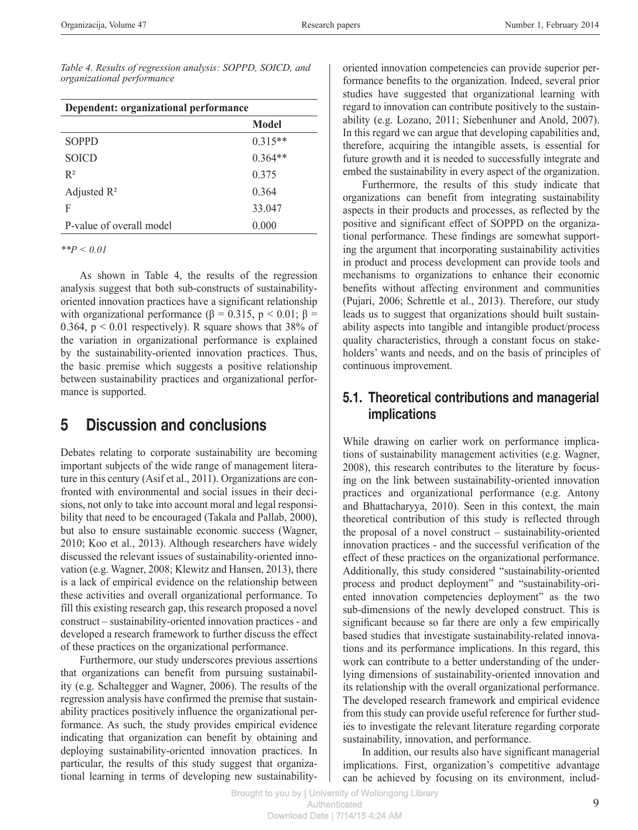*Table 4. Results of regression analysis: SOPPD, SOICD, and organizational performance*

| Dependent: organizational performance |           |  |
|---------------------------------------|-----------|--|
|                                       | Model     |  |
| <b>SOPPD</b>                          | $0.315**$ |  |
| <b>SOICD</b>                          | $0.364**$ |  |
| $R^2$                                 | 0.375     |  |
| Adjusted $\mathbb{R}^2$               | 0.364     |  |
| F                                     | 33.047    |  |
| P-value of overall model              | 0.000     |  |

*\*\*P < 0.01*

As shown in Table 4, the results of the regression analysis suggest that both sub-constructs of sustainabilityoriented innovation practices have a significant relationship with organizational performance ( $\beta = 0.315$ ,  $p < 0.01$ ;  $\beta =$ 0.364,  $p < 0.01$  respectively). R square shows that 38% of the variation in organizational performance is explained by the sustainability-oriented innovation practices. Thus, the basic premise which suggests a positive relationship between sustainability practices and organizational performance is supported.

## 5 Discussion and conclusions

Debates relating to corporate sustainability are becoming important subjects of the wide range of management literature in this century (Asif et al., 2011). Organizations are confronted with environmental and social issues in their decisions, not only to take into account moral and legal responsibility that need to be encouraged (Takala and Pallab, 2000), but also to ensure sustainable economic success (Wagner, 2010; Koo et al., 2013). Although researchers have widely discussed the relevant issues of sustainability-oriented innovation (e.g. Wagner, 2008; Klewitz and Hansen, 2013), there is a lack of empirical evidence on the relationship between these activities and overall organizational performance. To fill this existing research gap, this research proposed a novel construct – sustainability-oriented innovation practices - and developed a research framework to further discuss the effect of these practices on the organizational performance.

Furthermore, our study underscores previous assertions that organizations can benefit from pursuing sustainability (e.g. Schaltegger and Wagner, 2006). The results of the regression analysis have confirmed the premise that sustainability practices positively influence the organizational performance. As such, the study provides empirical evidence indicating that organization can benefit by obtaining and deploying sustainability-oriented innovation practices. In particular, the results of this study suggest that organizational learning in terms of developing new sustainabilityoriented innovation competencies can provide superior performance benefits to the organization. Indeed, several prior studies have suggested that organizational learning with regard to innovation can contribute positively to the sustainability (e.g. Lozano, 2011; Siebenhuner and Anold, 2007). In this regard we can argue that developing capabilities and, therefore, acquiring the intangible assets, is essential for future growth and it is needed to successfully integrate and embed the sustainability in every aspect of the organization.

Furthermore, the results of this study indicate that organizations can benefit from integrating sustainability aspects in their products and processes, as reflected by the positive and significant effect of SOPPD on the organizational performance. These findings are somewhat supporting the argument that incorporating sustainability activities in product and process development can provide tools and mechanisms to organizations to enhance their economic benefits without affecting environment and communities (Pujari, 2006; Schrettle et al., 2013). Therefore, our study leads us to suggest that organizations should built sustainability aspects into tangible and intangible product/process quality characteristics, through a constant focus on stakeholders' wants and needs, and on the basis of principles of continuous improvement.

## 5.1. Theoretical contributions and managerial implications

While drawing on earlier work on performance implications of sustainability management activities (e.g. Wagner, 2008), this research contributes to the literature by focusing on the link between sustainability-oriented innovation practices and organizational performance (e.g. Antony and Bhattacharyya, 2010). Seen in this context, the main theoretical contribution of this study is reflected through the proposal of a novel construct – sustainability-oriented innovation practices - and the successful verification of the effect of these practices on the organizational performance. Additionally, this study considered "sustainability-oriented process and product deployment" and "sustainability-oriented innovation competencies deployment" as the two sub-dimensions of the newly developed construct. This is significant because so far there are only a few empirically based studies that investigate sustainability-related innovations and its performance implications. In this regard, this work can contribute to a better understanding of the underlying dimensions of sustainability-oriented innovation and its relationship with the overall organizational performance. The developed research framework and empirical evidence from this study can provide useful reference for further studies to investigate the relevant literature regarding corporate sustainability, innovation, and performance.

In addition, our results also have significant managerial implications. First, organization's competitive advantage can be achieved by focusing on its environment, includ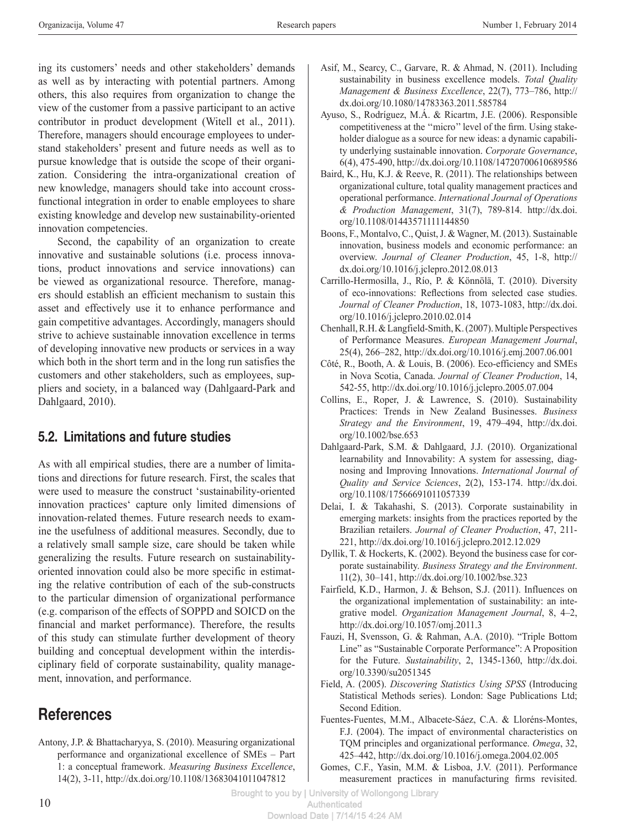ing its customers' needs and other stakeholders' demands as well as by interacting with potential partners. Among others, this also requires from organization to change the view of the customer from a passive participant to an active contributor in product development (Witell et al., 2011). Therefore, managers should encourage employees to understand stakeholders' present and future needs as well as to pursue knowledge that is outside the scope of their organization. Considering the intra-organizational creation of new knowledge, managers should take into account crossfunctional integration in order to enable employees to share existing knowledge and develop new sustainability-oriented innovation competencies.

Second, the capability of an organization to create innovative and sustainable solutions (i.e. process innovations, product innovations and service innovations) can be viewed as organizational resource. Therefore, managers should establish an efficient mechanism to sustain this asset and effectively use it to enhance performance and gain competitive advantages. Accordingly, managers should strive to achieve sustainable innovation excellence in terms of developing innovative new products or services in a way which both in the short term and in the long run satisfies the customers and other stakeholders, such as employees, suppliers and society, in a balanced way (Dahlgaard-Park and Dahlgaard, 2010).

# 5.2. Limitations and future studies

As with all empirical studies, there are a number of limitations and directions for future research. First, the scales that were used to measure the construct 'sustainability-oriented innovation practices' capture only limited dimensions of innovation-related themes. Future research needs to examine the usefulness of additional measures. Secondly, due to a relatively small sample size, care should be taken while generalizing the results. Future research on sustainabilityoriented innovation could also be more specific in estimating the relative contribution of each of the sub-constructs to the particular dimension of organizational performance (e.g. comparison of the effects of SOPPD and SOICD on the financial and market performance). Therefore, the results of this study can stimulate further development of theory building and conceptual development within the interdisciplinary field of corporate sustainability, quality management, innovation, and performance.

# **References**

Antony, J.P. & Bhattacharyya, S. (2010). Measuring organizational performance and organizational excellence of SMEs – Part 1: a conceptual framework. *Measuring Business Excellence*, 14(2), 3-11, http://dx.doi.org/10.1108/13683041011047812

- Asif, M., Searcy, C., Garvare, R. & Ahmad, N. (2011). Including sustainability in business excellence models. *Total Quality Management & Business Excellence*, 22(7), 773–786, http:// dx.doi.org/10.1080/14783363.2011.585784
- Ayuso, S., Rodríguez, M.Á. & Ricartm, J.E. (2006). Responsible competitiveness at the ''micro'' level of the firm. Using stakeholder dialogue as a source for new ideas: a dynamic capability underlying sustainable innovation. *Corporate Governance*, 6(4), 475-490, http://dx.doi.org/10.1108/14720700610689586
- Baird, K., Hu, K.J. & Reeve, R. (2011). The relationships between organizational culture, total quality management practices and operational performance. *International Journal of Operations & Production Management*, 31(7), 789-814. http://dx.doi. org/10.1108/01443571111144850
- Boons, F., Montalvo, C., Quist, J. & Wagner, M. (2013). Sustainable innovation, business models and economic performance: an overview. *Journal of Cleaner Production*, 45, 1-8, http:// dx.doi.org/10.1016/j.jclepro.2012.08.013
- Carrillo-Hermosilla, J., Río, P. & Könnölä, T. (2010). Diversity of eco-innovations: Reflections from selected case studies. *Journal of Cleaner Production*, 18, 1073-1083, http://dx.doi. org/10.1016/j.jclepro.2010.02.014
- Chenhall, R.H. & Langfield-Smith, K. (2007). Multiple Perspectives of Performance Measures. *European Management Journal*, 25(4), 266–282, http://dx.doi.org/10.1016/j.emj.2007.06.001
- Côté, R., Booth, A. & Louis, B. (2006). Eco-efficiency and SMEs in Nova Scotia, Canada. *Journal of Cleaner Production*, 14, 542-55, http://dx.doi.org/10.1016/j.jclepro.2005.07.004
- Collins, E., Roper, J. & Lawrence, S. (2010). Sustainability Practices: Trends in New Zealand Businesses. *Business Strategy and the Environment*, 19, 479–494, http://dx.doi. org/10.1002/bse.653
- Dahlgaard-Park, S.M. & Dahlgaard, J.J. (2010). Organizational learnability and Innovability: A system for assessing, diagnosing and Improving Innovations. *International Journal of Quality and Service Sciences*, 2(2), 153-174. http://dx.doi. org/10.1108/17566691011057339
- Delai, I. & Takahashi, S. (2013). Corporate sustainability in emerging markets: insights from the practices reported by the Brazilian retailers. *Journal of Cleaner Production*, 47, 211- 221, http://dx.doi.org/10.1016/j.jclepro.2012.12.029
- Dyllik, T. & Hockerts, K. (2002). Beyond the business case for corporate sustainability. *Business Strategy and the Environment*. 11(2), 30–141, http://dx.doi.org/10.1002/bse.323
- Fairfield, K.D., Harmon, J. & Behson, S.J. (2011). Influences on the organizational implementation of sustainability: an integrative model. *Organization Management Journal*, 8, 4–2, http://dx.doi.org/10.1057/omj.2011.3
- Fauzi, H, Svensson, G. & Rahman, A.A. (2010). "Triple Bottom Line" as "Sustainable Corporate Performance": A Proposition for the Future. *Sustainability*, 2, 1345-1360, http://dx.doi. org/10.3390/su2051345
- Field, A. (2005). *Discovering Statistics Using SPSS* (Introducing Statistical Methods series). London: Sage Publications Ltd; Second Edition.
- Fuentes-Fuentes, M.M., Albacete-Sáez, C.A. & Lloréns-Montes, F.J. (2004). The impact of environmental characteristics on TQM principles and organizational performance. *Omega*, 32, 425–442, http://dx.doi.org/10.1016/j.omega.2004.02.005
- Gomes, C.F., Yasin, M.M. & Lisboa, J.V. (2011). Performance measurement practices in manufacturing firms revisited.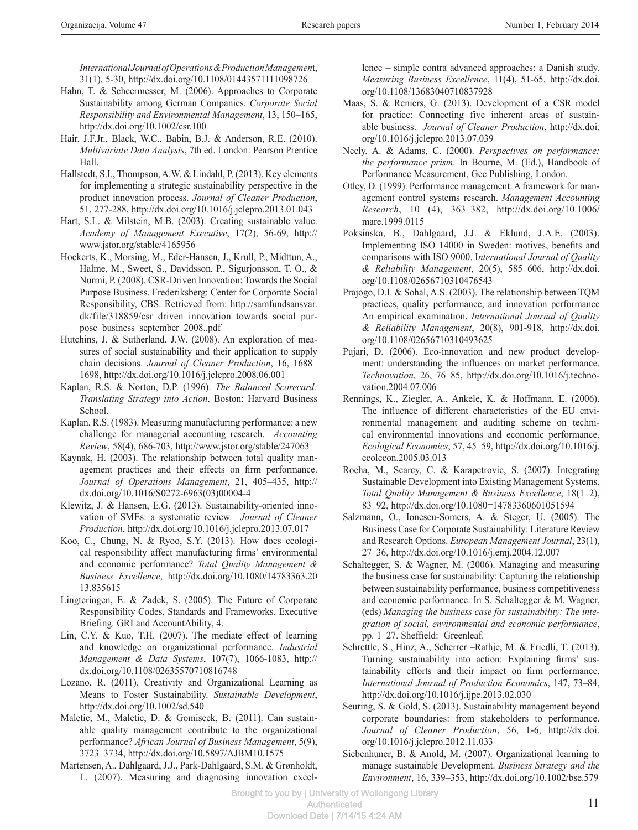*International Journal of Operations & Production Managemen*t, 31(1), 5-30, http://dx.doi.org/10.1108/01443571111098726

- Hahn, T. & Scheermesser, M. (2006). Approaches to Corporate Sustainability among German Companies. *Corporate Social Responsibility and Environmental Management*, 13, 150–165, http://dx.doi.org/10.1002/csr.100
- Hair, J.F.Jr., Black, W.C., Babin, B.J. & Anderson, R.E. (2010). *Multivariate Data Analysis*, 7th ed. London: Pearson Prentice Hall.
- Hallstedt, S.I., Thompson, A.W. & Lindahl, P. (2013). Key elements for implementing a strategic sustainability perspective in the product innovation process. *Journal of Cleaner Production*, 51, 277-288, http://dx.doi.org/10.1016/j.jclepro.2013.01.043
- Hart, S.L. & Milstein, M.B. (2003). Creating sustainable value. *Academy of Management Executive*, 17(2), 56-69, http:// www.jstor.org/stable/4165956
- Hockerts, K., Morsing, M., Eder-Hansen, J., Krull, P., Midttun, A., Halme, M., Sweet, S., Davidsson, P., Sigurjonsson, T. O., & Nurmi, P. (2008). CSR-Driven Innovation: Towards the Social Purpose Business. Frederiksberg: Center for Corporate Social Responsibility, CBS. Retrieved from: http://samfundsansvar. dk/file/318859/csr\_driven\_innovation\_towards\_social\_purpose business september 2008..pdf
- Hutchins, J. & Sutherland, J.W. (2008). An exploration of measures of social sustainability and their application to supply chain decisions. *Journal of Cleaner Production*, 16, 1688– 1698, http://dx.doi.org/10.1016/j.jclepro.2008.06.001
- Kaplan, R.S. & Norton, D.P. (1996). *The Balanced Scorecard: Translating Strategy into Action*. Boston: Harvard Business School.
- Kaplan, R.S. (1983). Measuring manufacturing performance: a new challenge for managerial accounting research. *Accounting Review*, 58(4), 686-703, http://www.jstor.org/stable/247063
- Kaynak, H. (2003). The relationship between total quality management practices and their effects on firm performance. *Journal of Operations Management*, 21, 405–435, http:// dx.doi.org/10.1016/S0272-6963(03)00004-4
- Klewitz, J. & Hansen, E.G. (2013). Sustainability-oriented innovation of SMEs: a systematic review. *Journal of Cleaner Production*, http://dx.doi.org/10.1016/j.jclepro.2013.07.017
- Koo, C., Chung, N. & Ryoo, S.Y. (2013). How does ecological responsibility affect manufacturing firms' environmental and economic performance? *Total Quality Management & Business Excellence*, http://dx.doi.org/10.1080/14783363.20 13.835615
- Lingteringen, E. & Zadek, S. (2005). The Future of Corporate Responsibility Codes, Standards and Frameworks. Executive Briefing. GRI and AccountAbility, 4.
- Lin, C.Y. & Kuo, T.H. (2007). The mediate effect of learning and knowledge on organizational performance. *Industrial Management & Data Systems*, 107(7), 1066-1083, http:// dx.doi.org/10.1108/02635570710816748
- Lozano, R. (2011). Creativity and Organizational Learning as Means to Foster Sustainability. *Sustainable Development*, http://dx.doi.org/10.1002/sd.540
- Maletic, M., Maletic, D. & Gomiscek, B. (2011). Can sustainable quality management contribute to the organizational performance? *African Journal of Business Management*, 5(9), 3723–3734, http://dx.doi.org/10.5897/AJBM10.1575
- Martensen, A., Dahlgaard, J.J., Park-Dahlgaard, S.M. & Grønholdt, L. (2007). Measuring and diagnosing innovation excel-

lence – simple contra advanced approaches: a Danish study. *Measuring Business Excellence*, 11(4), 51-65, http://dx.doi. org/10.1108/13683040710837928

- Maas, S. & Reniers, G. (2013). Development of a CSR model for practice: Connecting five inherent areas of sustainable business. *Journal of Cleaner Production*, http://dx.doi. org/10.1016/j.jclepro.2013.07.039
- Neely, A. & Adams, C. (2000). *Perspectives on performance: the performance prism*. In Bourne, M. (Ed.), Handbook of Performance Measurement, Gee Publishing, London.
- Otley, D. (1999). Performance management: A framework for management control systems research. *Management Accounting Research*, 10 (4), 363–382, http://dx.doi.org/10.1006/ mare.1999.0115
- Poksinska, B., Dahlgaard, J.J. & Eklund, J.A.E. (2003). Implementing ISO 14000 in Sweden: motives, benefits and comparisons with ISO 9000. I*nternational Journal of Quality & Reliability Management*, 20(5), 585–606, http://dx.doi. org/10.1108/02656710310476543
- Prajogo, D.I. & Sohal, A.S. (2003). The relationship between TQM practices, quality performance, and innovation performance An empirical examination. *International Journal of Quality & Reliability Management*, 20(8), 901-918, http://dx.doi. org/10.1108/02656710310493625
- Pujari, D. (2006). Eco-innovation and new product development: understanding the influences on market performance. *Technovation*, 26, 76–85, http://dx.doi.org/10.1016/j.technovation.2004.07.006
- Rennings, K., Ziegler, A., Ankele, K. & Hoffmann, E. (2006). The influence of different characteristics of the EU environmental management and auditing scheme on technical environmental innovations and economic performance. *Ecological Economics*, 57, 45–59, http://dx.doi.org/10.1016/j. ecolecon.2005.03.013
- Rocha, M., Searcy, C. & Karapetrovic, S. (2007). Integrating Sustainable Development into Existing Management Systems. *Total Quality Management & Business Excellence*, 18(1–2), 83–92, http://dx.doi.org/10.1080=14783360601051594
- Salzmann, O., Ionescu-Somers, A. & Steger, U. (2005). The Business Case for Corporate Sustainability: Literature Review and Research Options. *European Management Journal*, 23(1), 27–36, http://dx.doi.org/10.1016/j.emj.2004.12.007
- Schaltegger, S. & Wagner, M. (2006). Managing and measuring the business case for sustainability: Capturing the relationship between sustainability performance, business competitiveness and economic performance. In S. Schaltegger & M. Wagner, (eds) *Managing the business case for sustainability: The integration of social, environmental and economic performance*, pp. 1–27. Sheffield: Greenleaf.
- Schrettle, S., Hinz, A., Scherrer –Rathje, M. & Friedli, T. (2013). Turning sustainability into action: Explaining firms' sustainability efforts and their impact on firm performance. *International Journal of Production Economics*, 147, 73–84, http://dx.doi.org/10.1016/j.ijpe.2013.02.030
- Seuring, S. & Gold, S. (2013). Sustainability management beyond corporate boundaries: from stakeholders to performance. *Journal of Cleaner Production*, 56, 1-6, http://dx.doi. org/10.1016/j.jclepro.2012.11.033
- Siebenhuner, B. & Anold, M. (2007). Organizational learning to manage sustainable Development. *Business Strategy and the Environment*, 16, 339–353, http://dx.doi.org/10.1002/bse.579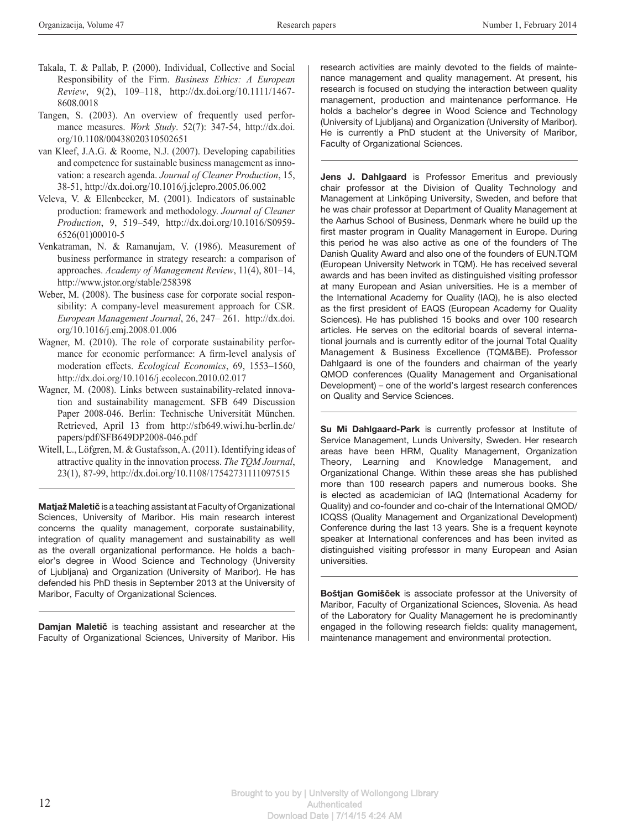- Takala, T. & Pallab, P. (2000). Individual, Collective and Social Responsibility of the Firm. *Business Ethics: A European Review*, 9(2), 109–118, http://dx.doi.org/10.1111/1467- 8608.0018
- Tangen, S. (2003). An overview of frequently used performance measures. *Work Study*. 52(7): 347-54, http://dx.doi. org/10.1108/00438020310502651
- van Kleef, J.A.G. & Roome, N.J. (2007). Developing capabilities and competence for sustainable business management as innovation: a research agenda. *Journal of Cleaner Production*, 15, 38-51, http://dx.doi.org/10.1016/j.jclepro.2005.06.002
- Veleva, V. & Ellenbecker, M. (2001). Indicators of sustainable production: framework and methodology. *Journal of Cleaner Production*, 9, 519–549, http://dx.doi.org/10.1016/S0959- 6526(01)00010-5
- Venkatraman, N. & Ramanujam, V. (1986). Measurement of business performance in strategy research: a comparison of approaches. *Academy of Management Review*, 11(4), 801–14, http://www.jstor.org/stable/258398
- Weber, M. (2008). The business case for corporate social responsibility: A company-level measurement approach for CSR. *European Management Journal*, 26, 247– 261. http://dx.doi. org/10.1016/j.emj.2008.01.006
- Wagner, M. (2010). The role of corporate sustainability performance for economic performance: A firm-level analysis of moderation effects. *Ecological Economics*, 69, 1553–1560, http://dx.doi.org/10.1016/j.ecolecon.2010.02.017
- Wagner, M. (2008). Links between sustainability-related innovation and sustainability management. SFB 649 Discussion Paper 2008-046. Berlin: Technische Universität München. Retrieved, April 13 from http://sfb649.wiwi.hu-berlin.de/ papers/pdf/SFB649DP2008-046.pdf
- Witell, L., Löfgren, M. & Gustafsson, A. (2011). Identifying ideas of attractive quality in the innovation process. *The TQM Journal*, 23(1), 87-99, http://dx.doi.org/10.1108/17542731111097515

Matjaž Maletič is a teaching assistant at Faculty of Organizational Sciences, University of Maribor. His main research interest concerns the quality management, corporate sustainability, integration of quality management and sustainability as well as the overall organizational performance. He holds a bachelor's degree in Wood Science and Technology (University of Ljubljana) and Organization (University of Maribor). He has defended his PhD thesis in September 2013 at the University of Maribor, Faculty of Organizational Sciences.

Damjan Maletič is teaching assistant and researcher at the Faculty of Organizational Sciences, University of Maribor. His

research activities are mainly devoted to the fields of maintenance management and quality management. At present, his research is focused on studying the interaction between quality management, production and maintenance performance. He holds a bachelor's degree in Wood Science and Technology (University of Ljubljana) and Organization (University of Maribor). He is currently a PhD student at the University of Maribor, Faculty of Organizational Sciences.

Jens J. Dahlgaard is Professor Emeritus and previously chair professor at the Division of Quality Technology and Management at Linköping University, Sweden, and before that he was chair professor at Department of Quality Management at the Aarhus School of Business, Denmark where he build up the first master program in Quality Management in Europe. During this period he was also active as one of the founders of The Danish Quality Award and also one of the founders of EUN.TQM (European University Network in TQM). He has received several awards and has been invited as distinguished visiting professor at many European and Asian universities. He is a member of the International Academy for Quality (IAQ), he is also elected as the first president of EAQS (European Academy for Quality Sciences). He has published 15 books and over 100 research articles. He serves on the editorial boards of several international journals and is currently editor of the journal Total Quality Management & Business Excellence (TQM&BE). Professor Dahlgaard is one of the founders and chairman of the yearly QMOD conferences (Quality Management and Organisational Development) – one of the world's largest research conferences on Quality and Service Sciences.

Su Mi Dahlgaard-Park is currently professor at Institute of Service Management, Lunds University, Sweden. Her research areas have been HRM, Quality Management, Organization Theory, Learning and Knowledge Management, and Organizational Change. Within these areas she has published more than 100 research papers and numerous books. She is elected as academician of IAQ (International Academy for Quality) and co-founder and co-chair of the International QMOD/ ICQSS (Quality Management and Organizational Development) Conference during the last 13 years. She is a frequent keynote speaker at International conferences and has been invited as distinguished visiting professor in many European and Asian universities.

Boštjan Gomišček is associate professor at the University of Maribor, Faculty of Organizational Sciences, Slovenia. As head of the Laboratory for Quality Management he is predominantly engaged in the following research fields: quality management, maintenance management and environmental protection.

Brought to you by | University of Wollongong Library **Authenticated** Download Date | 7/14/15 4:24 AM